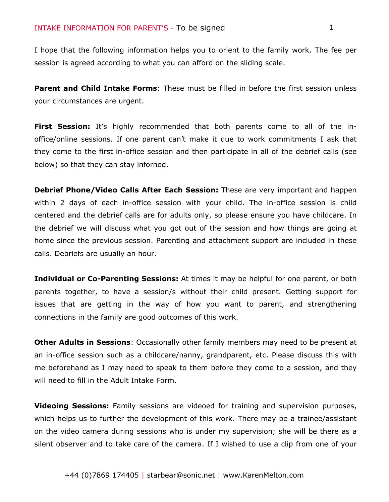I hope that the following information helps you to orient to the family work. The fee per session is agreed according to what you can afford on the sliding scale.

**Parent and Child Intake Forms**: These must be filled in before the first session unless your circumstances are urgent.

**First Session:** It's highly recommended that both parents come to all of the inoffice/online sessions. If one parent can't make it due to work commitments I ask that they come to the first in-office session and then participate in all of the debrief calls (see below) so that they can stay inforned.

**Debrief Phone/Video Calls After Each Session:** These are very important and happen within 2 days of each in-office session with your child. The in-office session is child centered and the debrief calls are for adults only, so please ensure you have childcare. In the debrief we will discuss what you got out of the session and how things are going at home since the previous session. Parenting and attachment support are included in these calls. Debriefs are usually an hour.

**Individual or Co-Parenting Sessions:** At times it may be helpful for one parent, or both parents together, to have a session/s without their child present. Getting support for issues that are getting in the way of how you want to parent, and strengthening connections in the family are good outcomes of this work.

**Other Adults in Sessions**: Occasionally other family members may need to be present at an in-office session such as a childcare/nanny, grandparent, etc. Please discuss this with me beforehand as I may need to speak to them before they come to a session, and they will need to fill in the Adult Intake Form.

**Videoing Sessions:** Family sessions are videoed for training and supervision purposes, which helps us to further the development of this work. There may be a trainee/assistant on the video camera during sessions who is under my supervision; she will be there as a silent observer and to take care of the camera. If I wished to use a clip from one of your